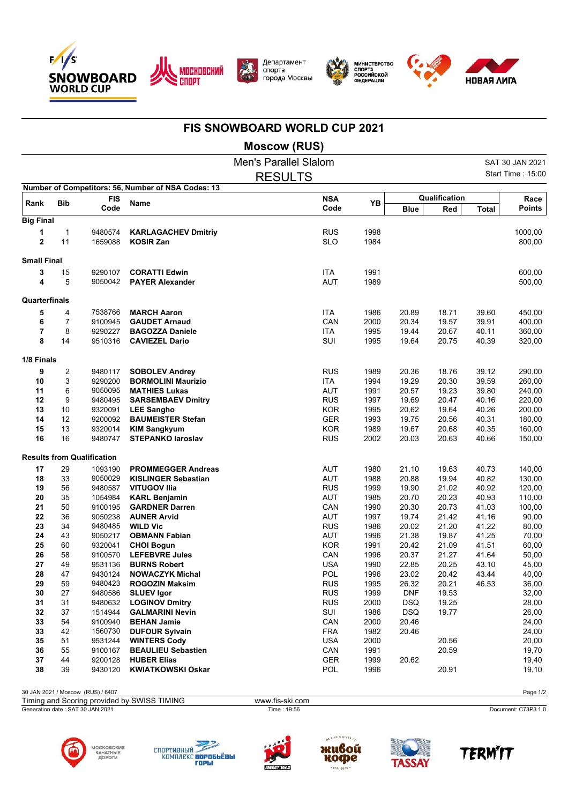



Департамент<br>спорта города Москвы



МИНИСТЕРСТВО<br>СПОРТА<br>РОССИЙСКОЙ<br>ФЕДЕРАЦИИ



## **FIS SNOWBOARD WORLD CUP 2021**

**Moscow (RUS)**

|                     |                |                                   |                                                    | <b>Men's Parallel Slalom</b> |              |                     |                |                | SAT 30 JAN 2021   |
|---------------------|----------------|-----------------------------------|----------------------------------------------------|------------------------------|--------------|---------------------|----------------|----------------|-------------------|
|                     |                |                                   |                                                    | <b>RESULTS</b>               |              |                     |                |                | Start Time: 15:00 |
|                     |                |                                   | Number of Competitors: 56, Number of NSA Codes: 13 |                              |              |                     |                |                |                   |
| Rank                | <b>Bib</b>     | <b>FIS</b>                        | <b>Name</b>                                        | <b>NSA</b><br>Code           | YB           |                     | Qualification  |                | Race              |
| <b>Big Final</b>    |                | Code                              |                                                    |                              |              | <b>Blue</b>         | Red            | <b>Total</b>   | <b>Points</b>     |
|                     |                |                                   |                                                    |                              |              |                     |                |                |                   |
| 1<br>$\overline{2}$ | $\mathbf{1}$   | 9480574                           | <b>KARLAGACHEV Dmitriy</b>                         | <b>RUS</b>                   | 1998         |                     |                |                | 1000,00           |
|                     | 11             | 1659088                           | <b>KOSIR Zan</b>                                   | <b>SLO</b>                   | 1984         |                     |                |                | 800,00            |
| <b>Small Final</b>  |                |                                   |                                                    |                              |              |                     |                |                |                   |
| 3                   | 15             | 9290107                           | <b>CORATTI Edwin</b>                               | <b>ITA</b>                   | 1991         |                     |                |                | 600,00            |
| 4                   | 5              | 9050042                           | <b>PAYER Alexander</b>                             | <b>AUT</b>                   | 1989         |                     |                |                | 500,00            |
| Quarterfinals       |                |                                   |                                                    |                              |              |                     |                |                |                   |
| 5                   | 4              | 7538766                           | <b>MARCH Aaron</b>                                 | <b>ITA</b>                   | 1986         | 20.89               | 18.71          | 39.60          | 450,00            |
| 6                   | $\overline{7}$ | 9100945                           | <b>GAUDET Arnaud</b>                               | CAN                          | 2000         | 20.34               | 19.57          | 39.91          | 400,00            |
| $\overline{7}$      | 8              | 9290227                           | <b>BAGOZZA Daniele</b>                             | <b>ITA</b>                   | 1995         | 19.44               | 20.67          | 40.11          | 360,00            |
| 8                   | 14             | 9510316                           | <b>CAVIEZEL Dario</b>                              | SUI                          | 1995         | 19.64               | 20.75          | 40.39          | 320,00            |
| 1/8 Finals          |                |                                   |                                                    |                              |              |                     |                |                |                   |
| 9                   | 2              | 9480117                           | <b>SOBOLEV Andrey</b>                              | <b>RUS</b>                   | 1989         | 20.36               | 18.76          | 39.12          | 290,00            |
| 10                  | 3              | 9290200                           | <b>BORMOLINI Maurizio</b>                          | <b>ITA</b>                   | 1994         | 19.29               | 20.30          | 39.59          | 260,00            |
| 11                  | 6              | 9050095                           | <b>MATHIES Lukas</b>                               | <b>AUT</b>                   | 1991         | 20.57               | 19.23          | 39.80          | 240,00            |
| 12                  | 9              | 9480495                           | <b>SARSEMBAEV Dmitry</b>                           | <b>RUS</b>                   | 1997         | 19.69               | 20.47          | 40.16          | 220,00            |
| 13                  | 10             | 9320091                           | <b>LEE Sangho</b>                                  | <b>KOR</b>                   | 1995         | 20.62               | 19.64          | 40.26          | 200,00            |
| 14                  | 12             | 9200092                           | <b>BAUMEISTER Stefan</b>                           | <b>GER</b>                   | 1993         | 19.75               | 20.56          | 40.31          | 180,00            |
| 15                  | 13             | 9320014                           | <b>KIM Sangkyum</b>                                | <b>KOR</b>                   | 1989         | 19.67               | 20.68          | 40.35          | 160,00            |
| 16                  | 16             | 9480747                           | <b>STEPANKO laroslav</b>                           | <b>RUS</b>                   | 2002         | 20.03               | 20.63          | 40.66          | 150,00            |
|                     |                | <b>Results from Qualification</b> |                                                    |                              |              |                     |                |                |                   |
| 17                  | 29             | 1093190                           | <b>PROMMEGGER Andreas</b>                          | AUT                          | 1980         | 21.10               | 19.63          | 40.73          | 140,00            |
| 18                  | 33             | 9050029                           | <b>KISLINGER Sebastian</b>                         | <b>AUT</b>                   | 1988         | 20.88               | 19.94          | 40.82          | 130,00            |
| 19                  | 56             | 9480587                           | <b>VITUGOV Ilia</b>                                | <b>RUS</b>                   | 1999         | 19.90               | 21.02          | 40.92          | 120,00            |
| 20                  | 35             | 1054984                           | <b>KARL Benjamin</b>                               | AUT                          | 1985         | 20.70               | 20.23          | 40.93          | 110,00            |
| 21                  | 50             | 9100195                           | <b>GARDNER Darren</b>                              | CAN                          | 1990         | 20.30               | 20.73          | 41.03          | 100,00            |
| 22                  | 36             | 9050238                           | <b>AUNER Arvid</b>                                 | <b>AUT</b>                   | 1997         | 19.74               | 21.42          | 41.16          | 90,00             |
| 23                  | 34             | 9480485                           | <b>WILD Vic</b>                                    | <b>RUS</b>                   | 1986         | 20.02               | 21.20          | 41.22          | 80,00             |
| 24                  | 43             | 9050217                           | <b>OBMANN Fabian</b>                               | <b>AUT</b>                   | 1996         | 21.38               | 19.87          | 41.25          | 70,00             |
| 25                  | 60             | 9320041                           | <b>CHOI Bogun</b>                                  | <b>KOR</b>                   | 1991         | 20.42               | 21.09          | 41.51          | 60,00             |
| 26                  | 58             | 9100570                           | <b>LEFEBVRE Jules</b>                              | CAN                          | 1996         | 20.37               | 21.27          | 41.64          | 50,00             |
| 27<br>28            | 49<br>47       | 9531136<br>9430124                | <b>BURNS Robert</b><br><b>NOWACZYK Michal</b>      | <b>USA</b><br>POL            | 1990<br>1996 | 22.85<br>23.02      | 20.25<br>20.42 | 43.10<br>43.44 | 45,00             |
|                     |                |                                   |                                                    |                              |              |                     |                |                | 40,00             |
| 29<br>30            | 59<br>27       | 9480423<br>9480586                | <b>ROGOZIN Maksim</b><br><b>SLUEV Igor</b>         | <b>RUS</b><br><b>RUS</b>     | 1995<br>1999 | 26.32<br><b>DNF</b> | 20.21<br>19.53 | 46.53          | 36,00<br>32,00    |
| 31                  | 31             | 9480632                           | <b>LOGINOV Dmitry</b>                              | <b>RUS</b>                   | 2000         | DSQ                 | 19.25          |                | 28,00             |
| 32                  | 37             | 1514944                           | <b>GALMARINI Nevin</b>                             | SUI                          | 1986         | DSQ                 | 19.77          |                | 26,00             |
| 33                  | 54             | 9100940                           | <b>BEHAN Jamie</b>                                 | CAN                          | 2000         | 20.46               |                |                | 24,00             |
| 33                  | 42             | 1560730                           | <b>DUFOUR Sylvain</b>                              | <b>FRA</b>                   | 1982         | 20.46               |                |                | 24,00             |
| 35                  | 51             | 9531244                           | <b>WINTERS Cody</b>                                | <b>USA</b>                   | 2000         |                     | 20.56          |                | 20,00             |
| 36                  | 55             | 9100167                           | <b>BEAULIEU Sebastien</b>                          | CAN                          | 1991         |                     | 20.59          |                | 19,70             |
| 37                  | 44             | 9200128                           | <b>HUBER Elias</b>                                 | <b>GER</b>                   | 1999         | 20.62               |                |                | 19,40             |
| 38                  | 39             | 9430120                           | <b>KWIATKOWSKI Oskar</b>                           | POL                          | 1996         |                     | 20.91          |                | 19,10             |
|                     |                |                                   |                                                    |                              |              |                     |                |                |                   |

30 JAN 2021 / Moscow (RUS) / 6407 Page 1/2

| Timing and Scoring provided by SWISS TIMING | www.fis-ski.com |                     |
|---------------------------------------------|-----------------|---------------------|
| Generation date: SAT 30 JAN 2021            | Time : 19:56    | Document: C73P3 1.0 |
|                                             |                 |                     |











**TERMIT**